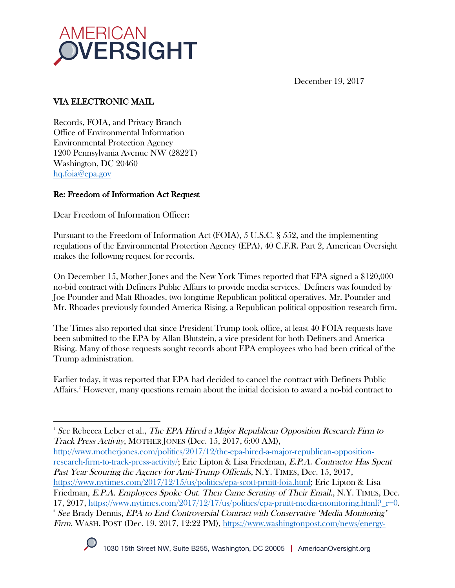

December 19, 2017

# VIA ELECTRONIC MAIL

Records, FOIA, and Privacy Branch Office of Environmental Information Environmental Protection Agency 1200 Pennsylvania Avenue NW (2822T) Washington, DC 20460 hq.foia@epa.gov

## Re: Freedom of Information Act Request

Dear Freedom of Information Officer:

Pursuant to the Freedom of Information Act (FOIA), 5 U.S.C. § 552, and the implementing regulations of the Environmental Protection Agency (EPA), 40 C.F.R. Part 2, American Oversight makes the following request for records.

On December 15, Mother Jones and the New York Times reported that EPA signed a \$120,000 no-bid contract with Definers Public Affairs to provide media services.' Definers was founded by Joe Pounder and Matt Rhoades, two longtime Republican political operatives. Mr. Pounder and Mr. Rhoades previously founded America Rising, a Republican political opposition research firm.

The Times also reported that since President Trump took office, at least 40 FOIA requests have been submitted to the EPA by Allan Blutstein, a vice president for both Definers and America Rising. Many of those requests sought records about EPA employees who had been critical of the Trump administration.

Earlier today, it was reported that EPA had decided to cancel the contract with Definers Public Affairs.2 However, many questions remain about the initial decision to award a no-bid contract to

http://www.motherjones.com/politics/2017/12/the-epa-hired-a-major-republican-oppositionresearch-firm-to-track-press-activity/; Eric Lipton & Lisa Friedman, E.P.A. Contractor Has Spent Past Year Scouring the Agency for Anti-Trump Officials, N.Y. TIMES, Dec. 15, 2017, https://www.nytimes.com/2017/12/15/us/politics/epa-scott-pruitt-foia.html; Eric Lipton & Lisa Friedman, E.P.A. Employees Spoke Out. Then Came Scrutiny of Their Email., N.Y. TIMES, Dec. 17, 2017, https://www.nytimes.com/2017/12/17/us/politics/epa-pruitt-media-monitoring.html? $r=0$ . <sup>2</sup> See Brady Dennis, *EPA to End Controversial Contract with Conservative 'Media Monitoring'* Firm, WASH. POST (Dec. 19, 2017, 12:22 PM), https://www.washingtonpost.com/news/energy-



  $^{\rm _1}$  See Rebecca Leber et al., *The EPA Hired a Major Republican Opposition Research Firm to* Track Press Activity, MOTHER JONES (Dec. 15, 2017, 6:00 AM),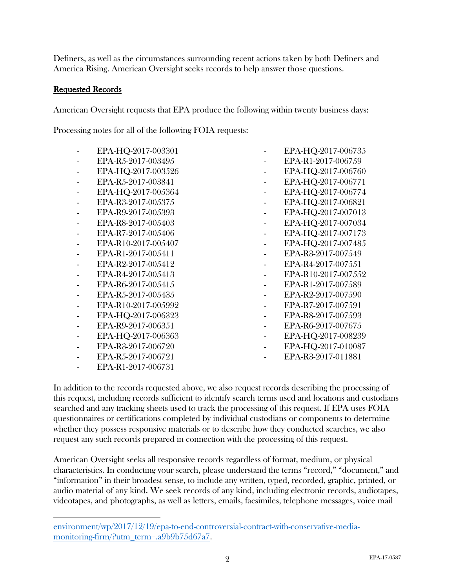Definers, as well as the circumstances surrounding recent actions taken by both Definers and America Rising. American Oversight seeks records to help answer those questions.

#### Requested Records

American Oversight requests that EPA produce the following within twenty business days:

Processing notes for all of the following FOIA requests:

- EPA-HQ-2017-003301
- EPA-R5-2017-003495
- EPA-HQ-2017-003526
- EPA-R5-2017-003841
- EPA-HQ-2017-005364
- EPA-R3-2017-005375
- EPA-R9-2017-005393
- EPA-R8-2017-005403
- EPA-R7-2017-005406
- EPA-R10-2017-005407
- EPA-R1-2017-005411
- EPA-R2-2017-005412
- EPA-R4-2017-005413
- EPA-R6-2017-005415
- EPA-R5-2017-005435
- EPA-R10-2017-005992
- EPA-HQ-2017-006323
- EPA-R9-2017-006351
- EPA-HQ-2017-006363
- EPA-R3-2017-006720
- EPA-R5-2017-006721
- EPA-R1-2017-006731

 

- EPA-HQ-2017-006735
- EPA-R1-2017-006759
- EPA-HQ-2017-006760
- EPA-HQ-2017-006771
- EPA-HQ-2017-006774
- EPA-HQ-2017-006821
- EPA-HQ-2017-007013
- EPA-HQ-2017-007034
- 
- EPA-HQ-2017-007173
- EPA-HQ-2017-007485
- EPA-R3-2017-007549
- EPA-R4-2017-007551
- EPA-R10-2017-007552
- EPA-R1-2017-007589
- EPA-R2-2017-007590
- EPA-R7-2017-007591
- EPA-R8-2017-007593
- EPA-R6-2017-007675
- EPA-HQ-2017-008239
- EPA-HQ-2017-010087
- EPA-R3-2017-011881

In addition to the records requested above, we also request records describing the processing of this request, including records sufficient to identify search terms used and locations and custodians searched and any tracking sheets used to track the processing of this request. If EPA uses FOIA questionnaires or certifications completed by individual custodians or components to determine whether they possess responsive materials or to describe how they conducted searches, we also request any such records prepared in connection with the processing of this request.

American Oversight seeks all responsive records regardless of format, medium, or physical characteristics. In conducting your search, please understand the terms "record," "document," and "information" in their broadest sense, to include any written, typed, recorded, graphic, printed, or audio material of any kind. We seek records of any kind, including electronic records, audiotapes, videotapes, and photographs, as well as letters, emails, facsimiles, telephone messages, voice mail

environment/wp/2017/12/19/epa-to-end-controversial-contract-with-conservative-mediamonitoring-firm/?utm\_term=.a9b9b75d67a7.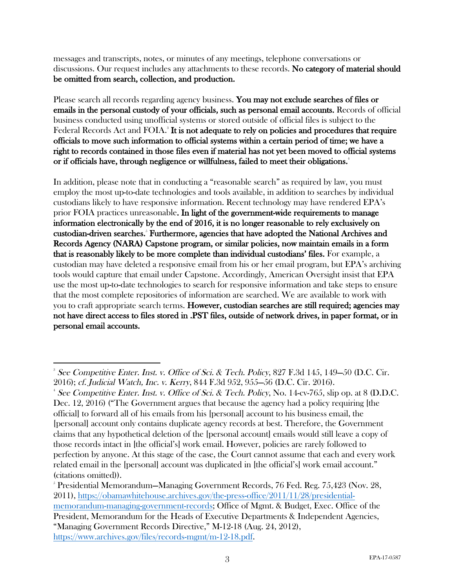messages and transcripts, notes, or minutes of any meetings, telephone conversations or discussions. Our request includes any attachments to these records. No category of material should be omitted from search, collection, and production.

Please search all records regarding agency business. You may not exclude searches of files or emails in the personal custody of your officials, such as personal email accounts. Records of official business conducted using unofficial systems or stored outside of official files is subject to the Federal Records Act and FOIA.<sup>3</sup> It is not adequate to rely on policies and procedures that require officials to move such information to official systems within a certain period of time; we have a right to records contained in those files even if material has not yet been moved to official systems or if officials have, through negligence or willfulness, failed to meet their obligations.<sup>4</sup>

In addition, please note that in conducting a "reasonable search" as required by law, you must employ the most up-to-date technologies and tools available, in addition to searches by individual custodians likely to have responsive information. Recent technology may have rendered EPA's prior FOIA practices unreasonable. In light of the government-wide requirements to manage information electronically by the end of 2016, it is no longer reasonable to rely exclusively on custodian-driven searches.<sup>5</sup> Furthermore, agencies that have adopted the National Archives and Records Agency (NARA) Capstone program, or similar policies, now maintain emails in a form that is reasonably likely to be more complete than individual custodians' files. For example, a custodian may have deleted a responsive email from his or her email program, but EPA's archiving tools would capture that email under Capstone. Accordingly, American Oversight insist that EPA use the most up-to-date technologies to search for responsive information and take steps to ensure that the most complete repositories of information are searched. We are available to work with you to craft appropriate search terms. However, custodian searches are still required; agencies may not have direct access to files stored in .PST files, outside of network drives, in paper format, or in personal email accounts.

 <sup>3</sup> See Competitive Enter. Inst. v. Office of Sci. & Tech. Policy, 827 F.3d 145, 149–50 (D.C. Cir. 2016); cf. Judicial Watch, Inc. v. Kerry, 844 F.3d 952, 955—56 (D.C. Cir. 2016). 4

<sup>&</sup>lt;sup>4</sup> See Competitive Enter. Inst. v. Office of Sci. & Tech. Policy, No. 14-cv-765, slip op. at 8 (D.D.C. Dec. 12, 2016) ("The Government argues that because the agency had a policy requiring [the official] to forward all of his emails from his [personal] account to his business email, the [personal] account only contains duplicate agency records at best. Therefore, the Government claims that any hypothetical deletion of the [personal account] emails would still leave a copy of those records intact in [the official's] work email. However, policies are rarely followed to perfection by anyone. At this stage of the case, the Court cannot assume that each and every work related email in the [personal] account was duplicated in [the official's] work email account." (citations omitted)).

<sup>5</sup> Presidential Memorandum—Managing Government Records, 76 Fed. Reg. 75,423 (Nov. 28, 2011), https://obamawhitehouse.archives.gov/the-press-office/2011/11/28/presidentialmemorandum-managing-government-records; Office of Mgmt. & Budget, Exec. Office of the President, Memorandum for the Heads of Executive Departments & Independent Agencies, "Managing Government Records Directive," M-12-18 (Aug. 24, 2012), https://www.archives.gov/files/records-mgmt/m-12-18.pdf.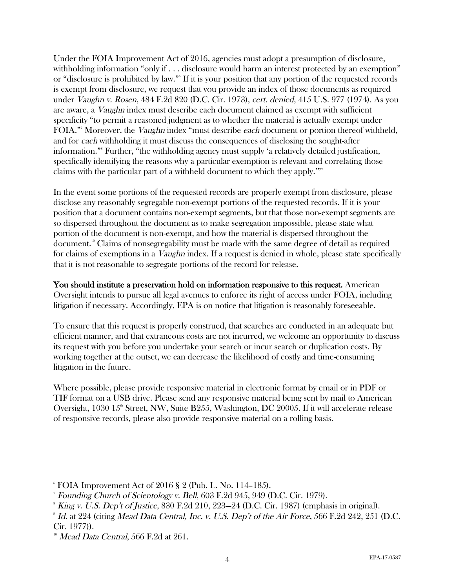Under the FOIA Improvement Act of 2016, agencies must adopt a presumption of disclosure, withholding information "only if . . . disclosure would harm an interest protected by an exemption" or "disclosure is prohibited by law."6 If it is your position that any portion of the requested records is exempt from disclosure, we request that you provide an index of those documents as required under Vaughn v. Rosen, 484 F.2d 820 (D.C. Cir. 1973), cert. denied, 415 U.S. 977 (1974). As you are aware, a Vaughn index must describe each document claimed as exempt with sufficient specificity "to permit a reasoned judgment as to whether the material is actually exempt under FOIA." Moreover, the *Vaughn* index "must describe *each* document or portion thereof withheld, and for each withholding it must discuss the consequences of disclosing the sought-after information."8 Further, "the withholding agency must supply 'a relatively detailed justification, specifically identifying the reasons why a particular exemption is relevant and correlating those claims with the particular part of a withheld document to which they apply.'"9

In the event some portions of the requested records are properly exempt from disclosure, please disclose any reasonably segregable non-exempt portions of the requested records. If it is your position that a document contains non-exempt segments, but that those non-exempt segments are so dispersed throughout the document as to make segregation impossible, please state what portion of the document is non-exempt, and how the material is dispersed throughout the document.10 Claims of nonsegregability must be made with the same degree of detail as required for claims of exemptions in a *Vaughn* index. If a request is denied in whole, please state specifically that it is not reasonable to segregate portions of the record for release.

You should institute a preservation hold on information responsive to this request. American Oversight intends to pursue all legal avenues to enforce its right of access under FOIA, including litigation if necessary. Accordingly, EPA is on notice that litigation is reasonably foreseeable.

To ensure that this request is properly construed, that searches are conducted in an adequate but efficient manner, and that extraneous costs are not incurred, we welcome an opportunity to discuss its request with you before you undertake your search or incur search or duplication costs. By working together at the outset, we can decrease the likelihood of costly and time-consuming litigation in the future.

Where possible, please provide responsive material in electronic format by email or in PDF or TIF format on a USB drive. Please send any responsive material being sent by mail to American Oversight,  $1030 \, 15^{\text{th}}$  Street, NW, Suite B255, Washington, DC 20005. If it will accelerate release of responsive records, please also provide responsive material on a rolling basis.

 

 $\mathrm{^6}$  FOIA Improvement Act of 2016 § 2 (Pub. L. No. 114–185).

<sup>7</sup> Founding Church of Scientology v. Bell, 603 F.2d 945, 949 (D.C. Cir. 1979).

 $\delta$  King v. U.S. Dep't of Justice, 830 F.2d 210, 223–24 (D.C. Cir. 1987) (emphasis in original).

 $^{\circ}$  Id. at 224 (citing Mead Data Central, Inc. v. U.S. Dep't of the Air Force, 566 F.2d 242, 251 (D.C. Cir. 1977)).

 $10$  Mead Data Central, 566 F.2d at 261.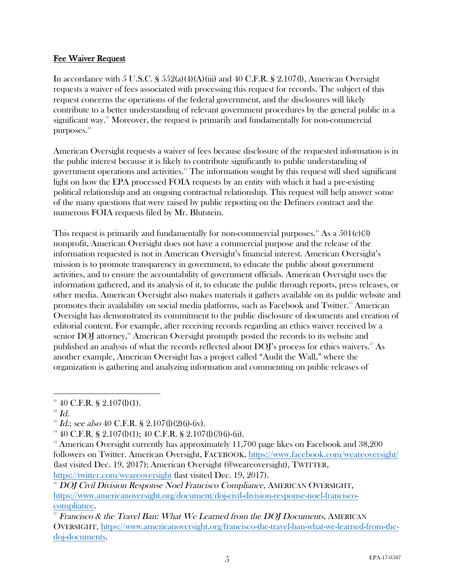#### Fee Waiver Request

In accordance with 5 U.S.C. §  $552(a)(4)(A)(iii)$  and 40 C.F.R. § 2.107(l), American Oversight requests a waiver of fees associated with processing this request for records. The subject of this request concerns the operations of the federal government, and the disclosures will likely contribute to a better understanding of relevant government procedures by the general public in a significant way.<sup>11</sup> Moreover, the request is primarily and fundamentally for non-commercial purposes.<sup>12</sup>

American Oversight requests a waiver of fees because disclosure of the requested information is in the public interest because it is likely to contribute significantly to public understanding of government operations and activities. <sup>13</sup> The information sought by this request will shed significant light on how the EPA processed FOIA requests by an entity with which it had a pre-existing political relationship and an ongoing contractual relationship. This request will help answer some of the many questions that were raised by public reporting on the Definers contract and the numerous FOIA requests filed by Mr. Blutstein.

This request is primarily and fundamentally for non-commercial purposes.<sup>14</sup> As a  $501(c)(3)$ nonprofit, American Oversight does not have a commercial purpose and the release of the information requested is not in American Oversight's financial interest. American Oversight's mission is to promote transparency in government, to educate the public about government activities, and to ensure the accountability of government officials. American Oversight uses the information gathered, and its analysis of it, to educate the public through reports, press releases, or other media. American Oversight also makes materials it gathers available on its public website and promotes their availability on social media platforms, such as Facebook and Twitter.<sup>15</sup> American Oversight has demonstrated its commitment to the public disclosure of documents and creation of editorial content. For example, after receiving records regarding an ethics waiver received by a senior DOJ attorney,<sup>16</sup> American Oversight promptly posted the records to its website and published an analysis of what the records reflected about DOJ's process for ethics waivers.<sup>17</sup> As another example, American Oversight has a project called "Audit the Wall," where the organization is gathering and analyzing information and commenting on public releases of

 

 $11$  40 C.F.R. § 2.107(l)(1).

 $12$  Id.

 $13$  Id.; see also 40 C.F.R. § 2.107(l)(2)(i)-(iv).

 $14\,40$  C.F.R. § 2.107(l)(1); 40 C.F.R. § 2.107(l)(3)(i)-(ii).

<sup>&</sup>lt;sup>15</sup> American Oversight currently has approximately  $11,700$  page likes on Facebook and  $38,200$ followers on Twitter. American Oversight, FACEBOOK, https://www.facebook.com/weareoversight/ (last visited Dec. 19, 2017); American Oversight (@weareoversight), TWITTER, https://twitter.com/weareoversight (last visited Dec. 19, 2017).

 $^{16}$  DOJ Civil Division Response Noel Francisco Compliance, AMERICAN OVERSIGHT, https://www.americanoversight.org/document/doj-civil-division-response-noel-franciscocompliance.

<sup>&</sup>lt;sup>17</sup> Francisco & the Travel Ban: What We Learned from the DOJ Documents, AMERICAN OVERSIGHT, https://www.americanoversight.org/francisco-the-travel-ban-what-we-learned-from-thedoj-documents.